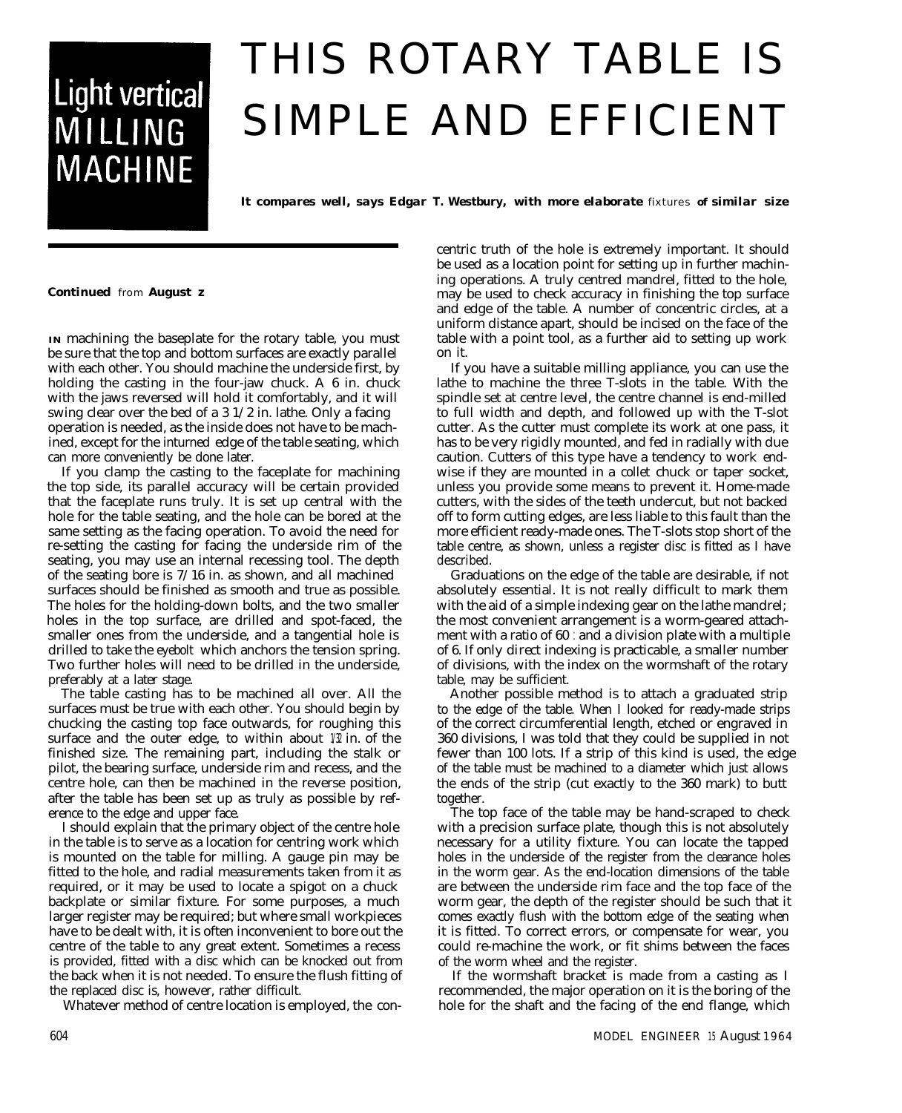## **Light vertical** MILLING **MACHINE**

# THIS ROTARY TABLE IS SIMPLE AND EFFICIENT

*It compares well, says Edgar T. Westbury, with more elaborate* fixtures *of similar size*

*Continued* from *August z*

**IN** machining the baseplate for the rotary table, you must be sure that the top and bottom surfaces are exactly parallel with each other. You should machine the underside first, by holding the casting in the four-jaw chuck. A 6 in. chuck with the jaws reversed will hold it comfortably, and it will swing clear over the bed of a 3 1/2 in. lathe. Only a facing operation is needed, as the inside does not have to be machined, except for the inturned edge of the table seating, which can more conveniently be done later.

If you clamp the casting to the faceplate for machining the top side, its parallel accuracy will be certain provided that the faceplate runs truly. It is set up central with the hole for the table seating, and the hole can be bored at the same setting as the facing operation. To avoid the need for re-setting the casting for facing the underside rim of the seating, you may use an internal recessing tool. The depth of the seating bore is 7/16 in. as shown, and all machined surfaces should be finished as smooth and true as possible. The holes for the holding-down bolts, and the two smaller holes in the top surface, are drilled and spot-faced, the smaller ones from the underside, and a tangential hole is drilled to take the eyebolt which anchors the tension spring. Two further holes will need to be drilled in the underside, preferably at a later stage.

The table casting has to be machined all over. All the surfaces must be true with each other. You should begin by chucking the casting top face outwards, for roughing this surface and the outer edge, to within about  $1/2$  in. of the finished size. The remaining part, including the stalk or pilot, the bearing surface, underside rim and recess, and the centre hole, can then be machined in the reverse position, after the table has been set up as truly as possible by reference to the edge and upper face.

I should explain that the primary object of the centre hole in the table is to serve as a location for centring work which is mounted on the table for milling. A gauge pin may be fitted to the hole, and radial measurements taken from it as required, or it may be used to locate a spigot on a chuck backplate or similar fixture. For some purposes, a much larger register may be required; but where small workpieces have to be dealt with, it is often inconvenient to bore out the centre of the table to any great extent. Sometimes a recess is provided, fitted with a disc which can be knocked out from the back when it is not needed. To ensure the flush fitting of the replaced disc is, however, rather difficult.

Whatever method of centre location is employed, the con-

centric truth of the hole is extremely important. It should be used as a location point for setting up in further machining operations. A truly centred mandrel, fitted to the hole, may be used to check accuracy in finishing the top surface and edge of the table. A number of concentric circles, at a uniform distance apart, should be incised on the face of the table with a point tool, as a further aid to setting up work on it.

If you have a suitable milling appliance, you can use the lathe to machine the three T-slots in the table. With the spindle set at centre level, the centre channel is end-milled to full width and depth, and followed up with the T-slot cutter. As the cutter must complete its work at one pass, it has to be very rigidly mounted, and fed in radially with due caution. Cutters of this type have a tendency to work endwise if they are mounted in a collet chuck or taper socket, unless you provide some means to prevent it. Home-made cutters, with the sides of the teeth undercut, but not backed off to form cutting edges, are less liable to this fault than the more efficient ready-made ones. The T-slots stop short of the table centre, as shown, unless a register disc is fitted as I have described.

Graduations on the edge of the table are desirable, if not absolutely essential. It is not really difficult to mark them with the aid of a simple indexing gear on the lathe mandrel; the most convenient arrangement is a worm-geared attachment with a ratio of 60 : and a division plate with a multiple of 6. If only *direct* indexing is practicable, a smaller number of divisions, with the index on the wormshaft of the rotary table, may be sufficient.

Another possible method is to attach a graduated strip to the edge of the table. When I looked for ready-made strips of the correct circumferential length, etched or engraved in 360 divisions, I was told that they could be supplied in not fewer than 100 lots. If a strip of this kind is used, the edge of the table must be machined to a diameter which just allows the ends of the strip (cut exactly to the 360 mark) to butt together.

The top face of the table may be hand-scraped to check with a precision surface plate, though this is not absolutely necessary for a utility fixture. You can locate the tapped holes in the underside of the register from the clearance holes in the worm gear. As the end-location dimensions of the table are between the underside rim face and the top face of the worm gear, the depth of the register should be such that it comes exactly flush with the bottom edge of the seating when it is fitted. To correct errors, or compensate for wear, you could re-machine the work, or fit shims between the faces of the worm wheel and the register.

If the wormshaft bracket is made from a casting as I recommended, the major operation on it is the boring of the hole for the shaft and the facing of the end flange, which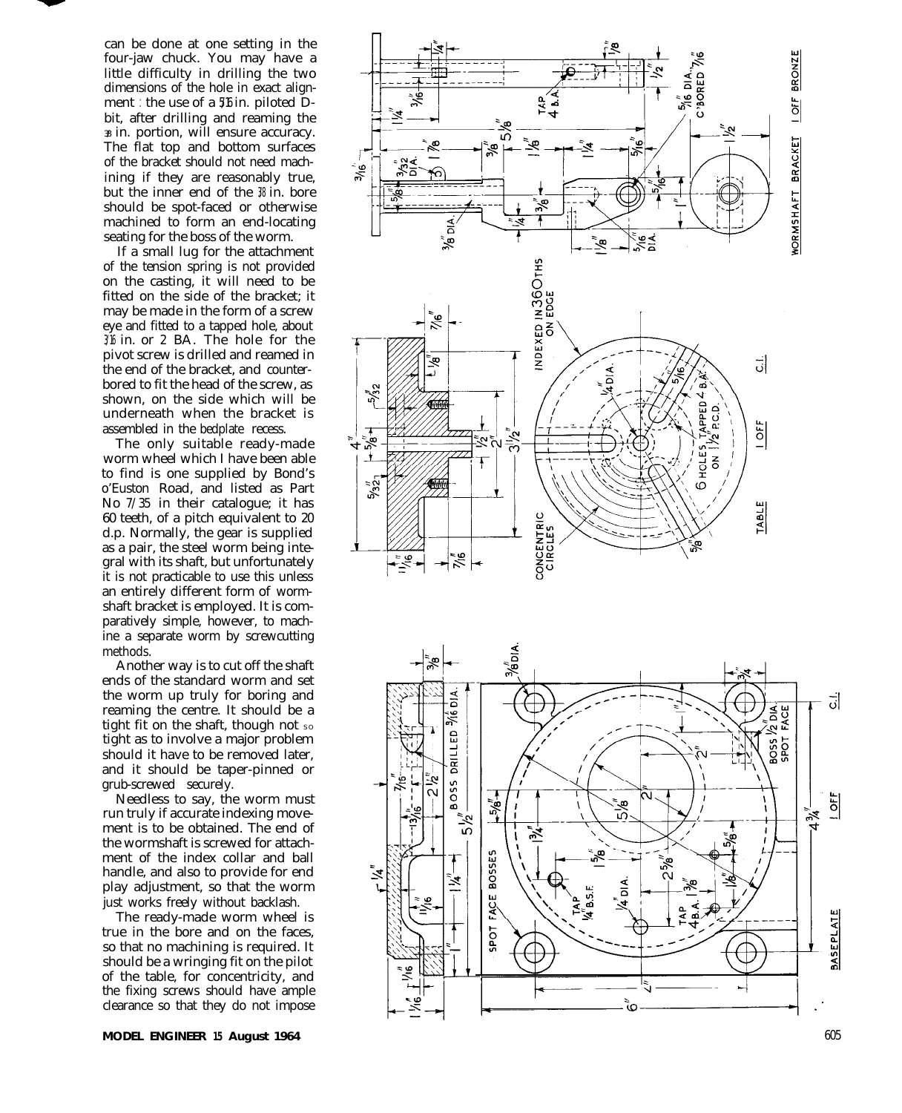can be done at one setting in the four-jaw chuck. You may have a little difficulty in drilling the two dimensions of the hole in exact alignment : the use of a  $5/6$  in. piloted Dbit, after drilling and reaming the  $\overline{x}$  in. portion, will ensure accuracy. The flat top and bottom surfaces of the bracket should not need machining if they are reasonably true, but the inner end of the  $%$  in. bore should be spot-faced or otherwise machined to form an end-locating seating for the boss of the worm.

If a small lug for the attachment of the tension spring is not provided on the casting, it will need to be fitted on the side of the bracket; it may be made in the form of a screw eye and fitted to a tapped hole, about 3/16 in. or 2 BA. The hole for the pivot screw is drilled and reamed in the end of the bracket, and counterbored to fit the head of the screw, as shown, on the side which will be underneath when the bracket is assembled in the bedplate recess.

The only suitable ready-made worm wheel which I have been able to find is one supplied by Bond's o'Euston Road, and listed as Part No 7/35 in their catalogue; it has 60 teeth, of a pitch equivalent to 20 d.p. Normally, the gear is supplied as a pair, the steel worm being integral with its shaft, but unfortunately it is not practicable to use this unless an entirely different form of wormshaft bracket is employed. It is comparatively simple, however, to machine a separate worm by screwcutting methods.

Another way is to cut off the shaft ends of the standard worm and set the worm up truly for boring and reaming the centre. It should be a tight fit on the shaft, though not so tight as to involve a major problem should it have to be removed later, and it should be taper-pinned or grub-screwed securely.

Needless to say, the worm must run truly if accurate indexing movement is to be obtained. The end of the wormshaft is screwed for attachment of the index collar and ball handle, and also to provide for end play adjustment, so that the worm just works freely without backlash.

The ready-made worm wheel is true in the bore and on the faces, so that no machining is required. It should be a wringing fit on the pilot of the table, for concentricity, and the fixing screws should have ample clearance so that they do not impose

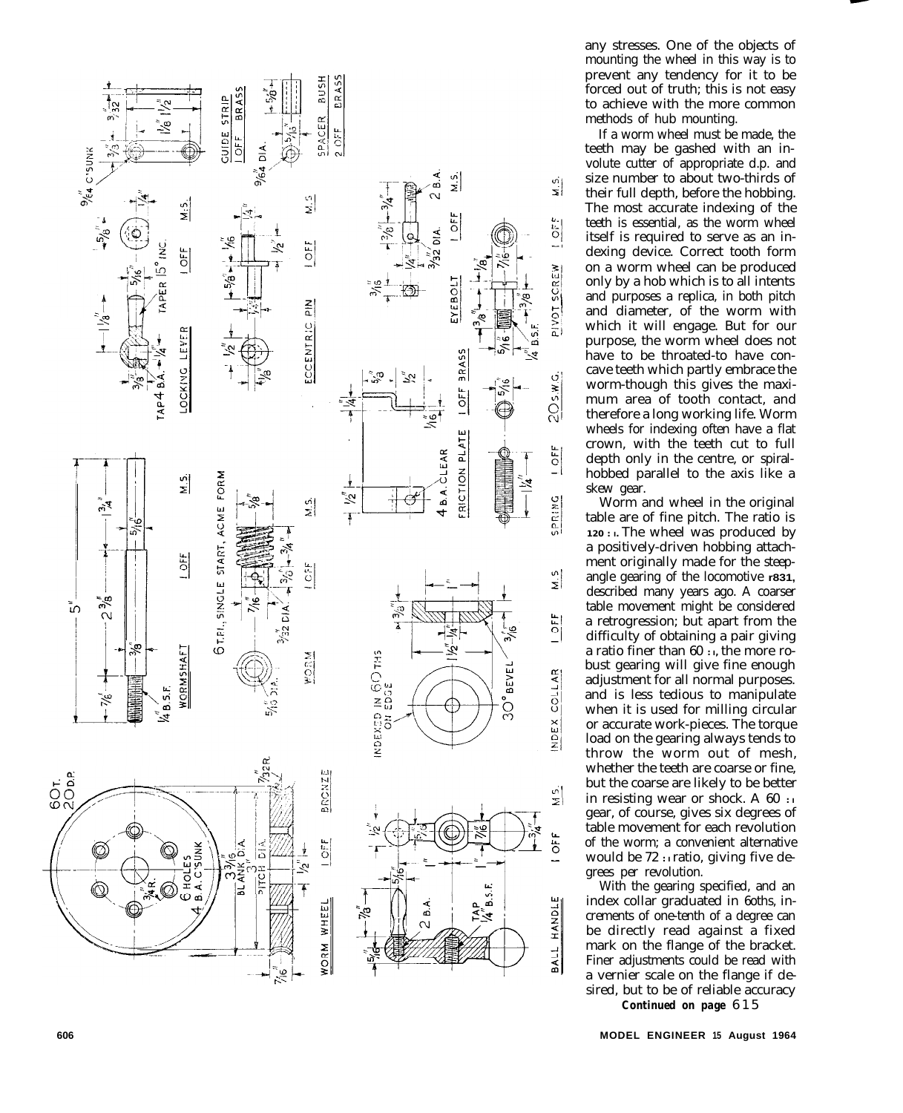

any stresses. One of the objects of mounting the wheel in this way is to prevent any tendency for it to be forced out of truth; this is not easy to achieve with the more common methods of hub mounting.

If a worm wheel must be made, the teeth may be gashed with an involute cutter of appropriate d.p. and size number to about two-thirds of their full depth, before the hobbing. The most accurate indexing of the teeth is essential, as the worm wheel itself is required to serve as an indexing device. Correct tooth form on a worm wheel can be produced only by a hob which is to all intents and purposes a replica, in both pitch and diameter, of the worm with which it will engage. But for our purpose, the worm wheel does not have to be throated-to have concave teeth which partly embrace the worm-though this gives the maximum area of tooth contact, and therefore a long working life. Worm wheels for indexing often have a flat crown, with the teeth cut to full depth only in the centre, or spiralhobbed parallel to the axis like a skew gear.

Worm and wheel in the original table are of fine pitch. The ratio is **120 : I.** The wheel was produced by a positively-driven hobbing attachment originally made for the steepangle gearing of the locomotive **r831,** described many years ago. A coarser table movement might be considered a retrogression; but apart from the difficulty of obtaining a pair giving a ratio finer than 60 **: I,** the more robust gearing will give fine enough adjustment for all normal purposes. and is less tedious to manipulate when it is used for milling circular or accurate work-pieces. The torque load on the gearing always tends to throw the worm out of mesh, whether the teeth are coarse or fine, but the coarse are likely to be better in resisting wear or shock. A  $60$ : gear, of course, gives six degrees of table movement for each revolution of the worm; a convenient alternative would be 72 **: I** ratio, giving five degrees per revolution.

With the gearing specified, and an index collar graduated in 6oths, increments of one-tenth of a degree can be directly read against a fixed mark on the flange of the bracket. Finer adjustments could be read with a vernier scale on the flange if desired, but to be of reliable accuracy